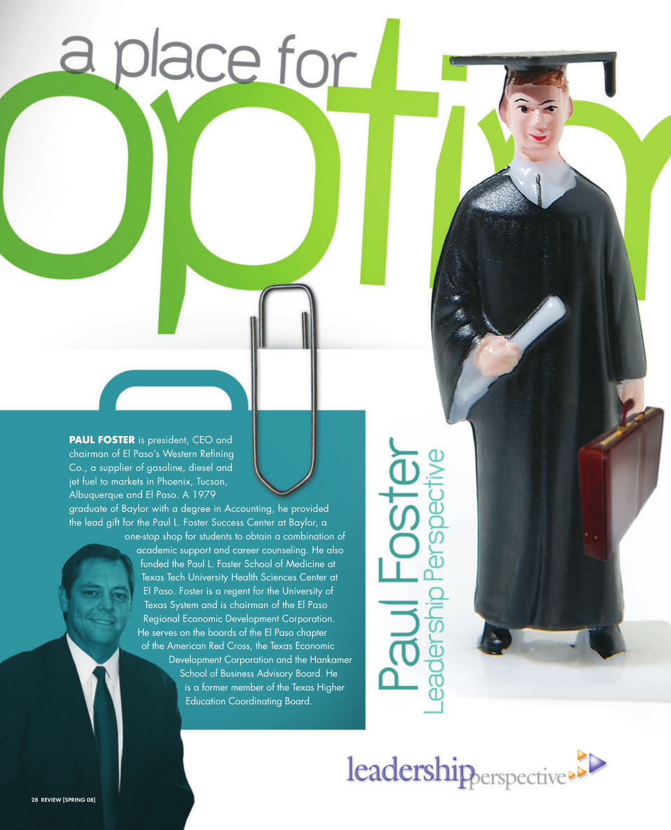**PAUL FOSTER** is president, CEO and chairman of El Paso's Western Refining Co., a supplier of gasoline, diesel and jet fuel to markets in Phoenix, Tucson, Albuquerque and El Paso. A 1979

graduate of Baylor with a degree in Accounting, he provided the lead gift for the Paul L. Foster Success Center at Baylor, a one-stop shop for students to obtain a combination of

a place for

academic support and career counseling. He also funded the Paul L. Foster School of Medicine at Texas Tech University Health Sciences Center at El Paso. Foster is a regent for the University of Texas System and is chairman of the El Paso Regional Economic Development Corporation. He serves on the boards of the El Paso chapter of the American Red Cross, the Texas Economic Development Corporation and the Hankamer School of Business Advisory Board. He is a former member of the Texas Higher Education Coordinating Board.

**HOSTE** cabed ā

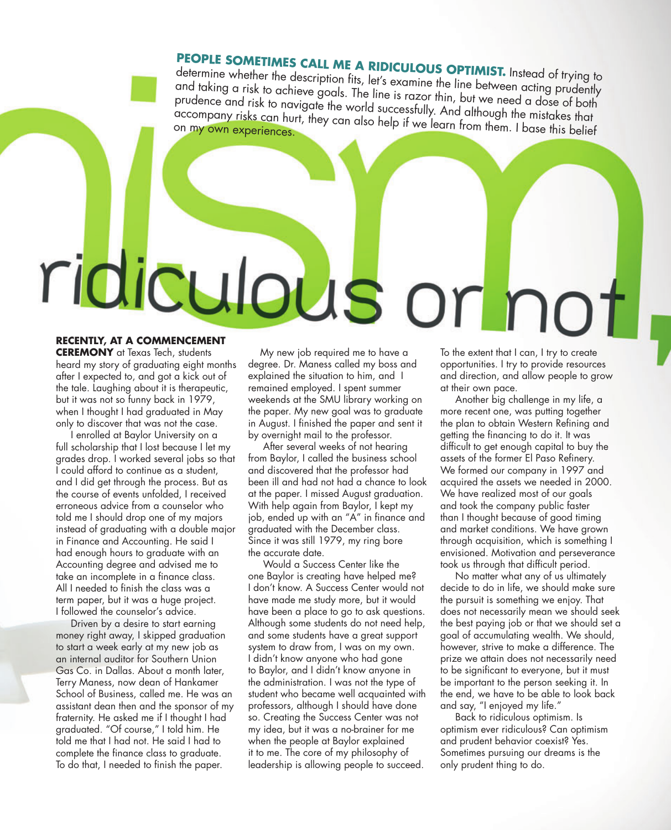## **People sometimes call me a ridiculous o**

determine whether the description fits, let's examine the line between acting prudently **PTIMIST.** Instead of trying to and taking a risk to achieve goals. The line is razor thin, but we need a dose of both prudence and risk to navigate the world successfully. And although the mistakes that<br>accompany risks can hurt, they can also help if we learn from them. I base this belief<br>on my own experiences accompany risks can hurt, they can also help if we learn from them. I base this belief<br>on my own experiences.

## ridicul ous or n **Recently, at a commencement**

**CEREMONY** at Texas Tech, students heard my story of graduating eight months after I expected to, and got a kick out of the tale. Laughing about it is therapeutic, but it was not so funny back in 1979, when I thought I had graduated in May only to discover that was not the case.

 I enrolled at Baylor University on a full scholarship that I lost because I let my grades drop. I worked several jobs so that I could afford to continue as a student, and I did get through the process. But as the course of events unfolded, I received erroneous advice from a counselor who told me I should drop one of my majors instead of graduating with a double major in Finance and Accounting. He said I had enough hours to graduate with an Accounting degree and advised me to take an incomplete in a finance class. All I needed to finish the class was a term paper, but it was a huge project. I followed the counselor's advice.

 Driven by a desire to start earning money right away, I skipped graduation to start a week early at my new job as an internal auditor for Southern Union Gas Co. in Dallas. About a month later, Terry Maness, now dean of Hankamer School of Business, called me. He was an assistant dean then and the sponsor of my fraternity. He asked me if I thought I had graduated. "Of course," I told him. He told me that I had not. He said I had to complete the finance class to graduate. To do that, I needed to finish the paper.

 My new job required me to have a degree. Dr. Maness called my boss and explained the situation to him, and I remained employed. I spent summer weekends at the SMU library working on the paper. My new goal was to graduate in August. I finished the paper and sent it by overnight mail to the professor.

 After several weeks of not hearing from Baylor, I called the business school and discovered that the professor had been ill and had not had a chance to look at the paper. I missed August graduation. With help again from Baylor, I kept my job, ended up with an "A" in finance and graduated with the December class. Since it was still 1979, my ring bore the accurate date.

 Would a Success Center like the one Baylor is creating have helped me? I don't know. A Success Center would not have made me study more, but it would have been a place to go to ask questions. Although some students do not need help, and some students have a great support system to draw from, I was on my own. I didn't know anyone who had gone to Baylor, and I didn't know anyone in the administration. I was not the type of student who became well acquainted with professors, although I should have done so. Creating the Success Center was not my idea, but it was a no-brainer for me when the people at Baylor explained it to me. The core of my philosophy of leadership is allowing people to succeed.

To the extent that I can, I try to create opportunities. I try to provide resources and direction, and allow people to grow at their own pace.

 Another big challenge in my life, a more recent one, was putting together the plan to obtain Western Refining and getting the financing to do it. It was difficult to get enough capital to buy the assets of the former El Paso Refinery. We formed our company in 1997 and acquired the assets we needed in 2000. We have realized most of our goals and took the company public faster than I thought because of good timing and market conditions. We have grown through acquisition, which is something I envisioned. Motivation and perseverance took us through that difficult period.

 No matter what any of us ultimately decide to do in life, we should make sure the pursuit is something we enjoy. That does not necessarily mean we should seek the best paying job or that we should set a goal of accumulating wealth. We should, however, strive to make a difference. The prize we attain does not necessarily need to be significant to everyone, but it must be important to the person seeking it. In the end, we have to be able to look back and say, "I enjoyed my life."

 Back to ridiculous optimism. Is optimism ever ridiculous? Can optimism and prudent behavior coexist? Yes. Sometimes pursuing our dreams is the only prudent thing to do.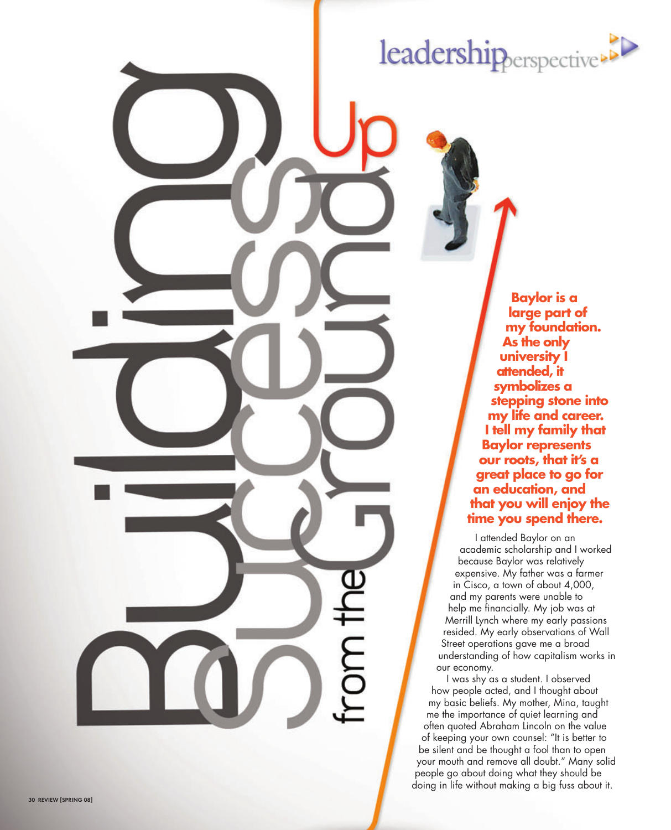## leadershipperspective

**Baylor is a large part of my foundation. As the only university I attended, it symbolizes a stepping stone into my life and career. I tell my family that Baylor represents our roots, that it's a great place to go for an education, and that you will enjoy the time you spend there.**

I attended Baylor on an academic scholarship and I worked because Baylor was relatively expensive. My father was a farmer in Cisco, a town of about 4,000, and my parents were unable to help me financially. My job was at Merrill Lynch where my early passions resided. My early observations of Wall Street operations gave me a broad understanding of how capitalism works in our economy.

rom the

I was shy as a student. I observed how people acted, and I thought about my basic beliefs. My mother, Mina, taught me the importance of quiet learning and often quoted Abraham Lincoln on the value of keeping your own counsel: "It is better to be silent and be thought a fool than to open your mouth and remove all doubt." Many solid people go about doing what they should be doing in life without making a big fuss about it.